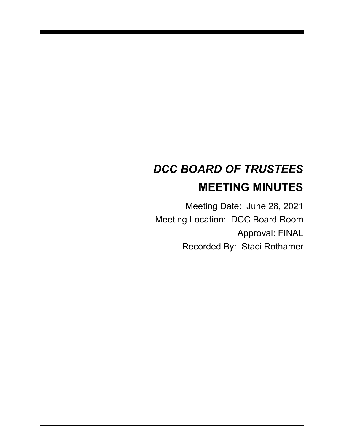# *DCC BOARD OF TRUSTEES* **MEETING MINUTES**

Meeting Date: June 28, 2021 Meeting Location: DCC Board Room Approval: FINAL Recorded By: Staci Rothamer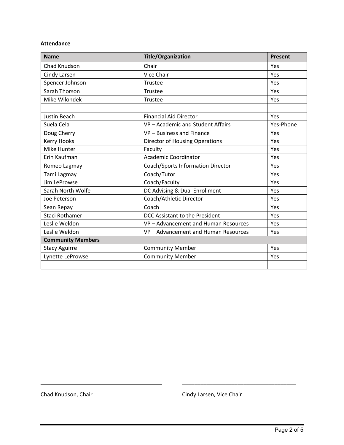#### **Attendance**

| <b>Name</b>              | <b>Title/Organization</b>             | <b>Present</b> |
|--------------------------|---------------------------------------|----------------|
| Chad Knudson             | Chair                                 | Yes            |
| Cindy Larsen             | Vice Chair                            | Yes            |
| Spencer Johnson          | Trustee                               | Yes            |
| Sarah Thorson            | Trustee                               | Yes            |
| Mike Wilondek            | Trustee                               | Yes            |
|                          |                                       |                |
| Justin Beach             | <b>Financial Aid Director</b>         | Yes            |
| Suela Cela               | VP-Academic and Student Affairs       | Yes-Phone      |
| Doug Cherry              | VP - Business and Finance             | Yes            |
| Kerry Hooks              | <b>Director of Housing Operations</b> | Yes            |
| Mike Hunter              | Faculty                               | Yes            |
| Erin Kaufman             | <b>Academic Coordinator</b>           | Yes            |
| Romeo Lagmay             | Coach/Sports Information Director     | Yes            |
| Tami Lagmay              | Coach/Tutor                           | Yes            |
| Jim LeProwse             | Coach/Faculty                         | Yes            |
| Sarah North Wolfe        | DC Advising & Dual Enrollment         | Yes            |
| Joe Peterson             | Coach/Athletic Director               | Yes            |
| Sean Repay               | Coach                                 | Yes            |
| <b>Staci Rothamer</b>    | DCC Assistant to the President        | Yes            |
| Leslie Weldon            | VP - Advancement and Human Resources  | Yes            |
| Leslie Weldon            | VP - Advancement and Human Resources  | Yes            |
| <b>Community Members</b> |                                       |                |
| <b>Stacy Aguirre</b>     | <b>Community Member</b>               | Yes            |
| Lynette LeProwse         | <b>Community Member</b>               | Yes            |
|                          |                                       |                |

Chad Knudson, Chair Chair Chad Knudson, Chair

\_\_\_\_\_\_\_\_\_\_\_\_\_\_\_\_\_\_\_\_\_\_\_\_\_\_\_\_\_\_\_\_\_\_ \_\_\_\_\_\_\_\_\_\_\_\_\_\_\_\_\_\_\_\_\_\_\_\_\_\_\_\_\_\_\_\_\_\_\_\_\_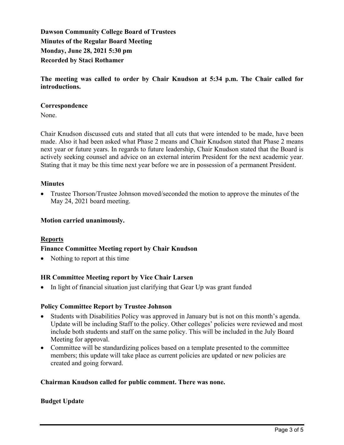**Dawson Community College Board of Trustees Minutes of the Regular Board Meeting Monday, June 28, 2021 5:30 pm Recorded by Staci Rothamer**

**The meeting was called to order by Chair Knudson at 5:34 p.m. The Chair called for introductions.**

## **Correspondence**

None.

Chair Knudson discussed cuts and stated that all cuts that were intended to be made, have been made. Also it had been asked what Phase 2 means and Chair Knudson stated that Phase 2 means next year or future years. In regards to future leadership, Chair Knudson stated that the Board is actively seeking counsel and advice on an external interim President for the next academic year. Stating that it may be this time next year before we are in possession of a permanent President.

## **Minutes**

• Trustee Thorson/Trustee Johnson moved/seconded the motion to approve the minutes of the May 24, 2021 board meeting.

#### **Motion carried unanimously.**

# **Reports**

#### **Finance Committee Meeting report by Chair Knudson**

• Nothing to report at this time

# **HR Committee Meeting report by Vice Chair Larsen**

• In light of financial situation just clarifying that Gear Up was grant funded

#### **Policy Committee Report by Trustee Johnson**

- Students with Disabilities Policy was approved in January but is not on this month's agenda. Update will be including Staff to the policy. Other colleges' policies were reviewed and most include both students and staff on the same policy. This will be included in the July Board Meeting for approval.
- Committee will be standardizing polices based on a template presented to the committee members; this update will take place as current policies are updated or new policies are created and going forward.

#### **Chairman Knudson called for public comment. There was none.**

# **Budget Update**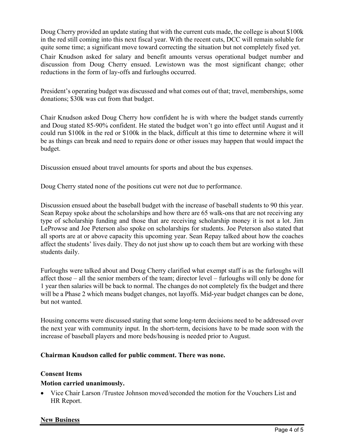Doug Cherry provided an update stating that with the current cuts made, the college is about \$100k in the red still coming into this next fiscal year. With the recent cuts, DCC will remain soluble for quite some time; a significant move toward correcting the situation but not completely fixed yet.

Chair Knudson asked for salary and benefit amounts versus operational budget number and discussion from Doug Cherry ensued. Lewistown was the most significant change; other reductions in the form of lay-offs and furloughs occurred.

President's operating budget was discussed and what comes out of that; travel, memberships, some donations; \$30k was cut from that budget.

Chair Knudson asked Doug Cherry how confident he is with where the budget stands currently and Doug stated 85-90% confident. He stated the budget won't go into effect until August and it could run \$100k in the red or \$100k in the black, difficult at this time to determine where it will be as things can break and need to repairs done or other issues may happen that would impact the budget.

Discussion ensued about travel amounts for sports and about the bus expenses.

Doug Cherry stated none of the positions cut were not due to performance.

Discussion ensued about the baseball budget with the increase of baseball students to 90 this year. Sean Repay spoke about the scholarships and how there are 65 walk-ons that are not receiving any type of scholarship funding and those that are receiving scholarship money it is not a lot. Jim LeProwse and Joe Peterson also spoke on scholarships for students. Joe Peterson also stated that all sports are at or above capacity this upcoming year. Sean Repay talked about how the coaches affect the students' lives daily. They do not just show up to coach them but are working with these students daily.

Furloughs were talked about and Doug Cherry clarified what exempt staff is as the furloughs will affect those – all the senior members of the team; director level – furloughs will only be done for 1 year then salaries will be back to normal. The changes do not completely fix the budget and there will be a Phase 2 which means budget changes, not layoffs. Mid-year budget changes can be done, but not wanted.

Housing concerns were discussed stating that some long-term decisions need to be addressed over the next year with community input. In the short-term, decisions have to be made soon with the increase of baseball players and more beds/housing is needed prior to August.

# **Chairman Knudson called for public comment. There was none.**

#### **Consent Items**

# **Motion carried unanimously.**

• Vice Chair Larson /Trustee Johnson moved/seconded the motion for the Vouchers List and HR Report.

#### **New Business**